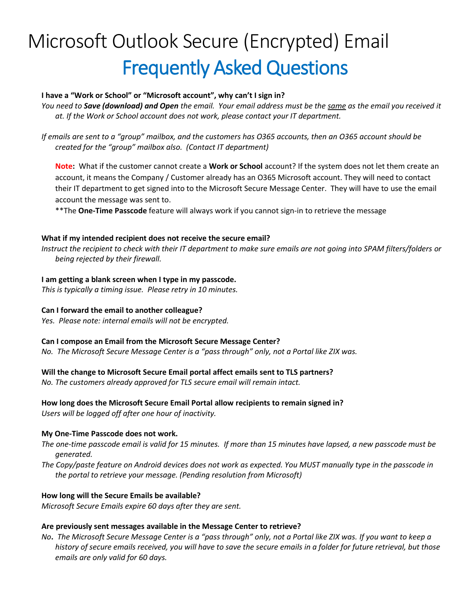# Microsoft Outlook Secure (Encrypted) Email Frequently Asked Questions

# **I have a "Work or School" or "Microsoft account", why can't I sign in?**

*You need to Save (download) and Open the email. Your email address must be the same as the email you received it at. If the Work or School account does not work, please contact your IT department.*

*If emails are sent to a "group" mailbox, and the customers has O365 accounts, then an O365 account should be created for the "group" mailbox also. (Contact IT department)*

**Note:** What if the customer cannot create a **Work or School** account? If the system does not let them create an account, it means the Company / Customer already has an O365 Microsoft account. They will need to contact their IT department to get signed into to the Microsoft Secure Message Center. They will have to use the email account the message was sent to.

\*\*The **One-Time Passcode** feature will always work if you cannot sign-in to retrieve the message

#### **What if my intended recipient does not receive the secure email?**

*Instruct the recipient to check with their IT department to make sure emails are not going into SPAM filters/folders or being rejected by their firewall.*

#### **I am getting a blank screen when I type in my passcode.**

*This is typically a timing issue. Please retry in 10 minutes.*

## **Can I forward the email to another colleague?**

*Yes. Please note: internal emails will not be encrypted.*

#### **Can I compose an Email from the Microsoft Secure Message Center?**

*No. The Microsoft Secure Message Center is a "pass through" only, not a Portal like ZIX was.*

## **Will the change to Microsoft Secure Email portal affect emails sent to TLS partners?**

*No. The customers already approved for TLS secure email will remain intact.*

## **How long does the Microsoft Secure Email Portal allow recipients to remain signed in?**

*Users will be logged off after one hour of inactivity.*

#### **My One-Time Passcode does not work.**

- *The one-time passcode email is valid for 15 minutes. If more than 15 minutes have lapsed, a new passcode must be generated.*
- *The Copy/paste feature on Android devices does not work as expected. You MUST manually type in the passcode in the portal to retrieve your message. (Pending resolution from Microsoft)*

## **How long will the Secure Emails be available?**

*Microsoft Secure Emails expire 60 days after they are sent.*

## **Are previously sent messages available in the Message Center to retrieve?**

*No***.** *The Microsoft Secure Message Center is a "pass through" only, not a Portal like ZIX was. If you want to keep a history of secure emails received, you will have to save the secure emails in a folder for future retrieval, but those emails are only valid for 60 days.*